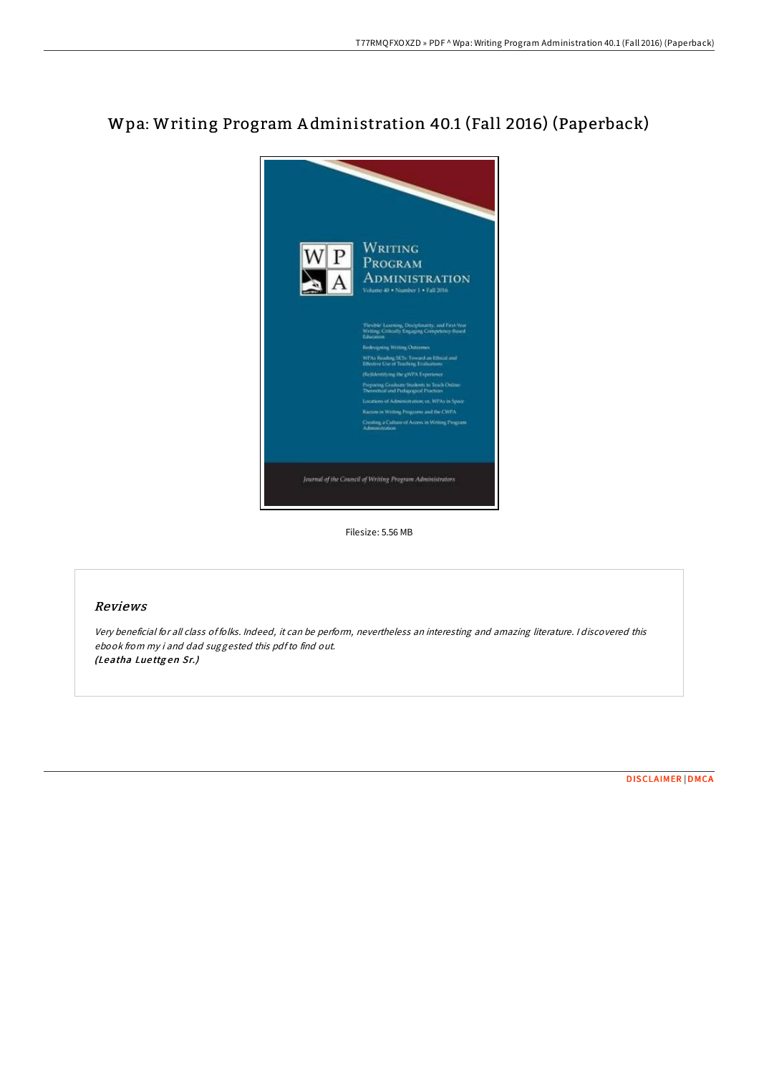# Wpa: Writing Program A dministration 40.1 (Fall 2016) (Paperback)



Filesize: 5.56 MB

## Reviews

Very beneficial for all class of folks. Indeed, it can be perform, nevertheless an interesting and amazing literature. <sup>I</sup> discovered this ebook from my i and dad suggested this pdfto find out. (Leatha Luettgen Sr.)

[DISCLAIMER](http://almighty24.tech/disclaimer.html) | [DMCA](http://almighty24.tech/dmca.html)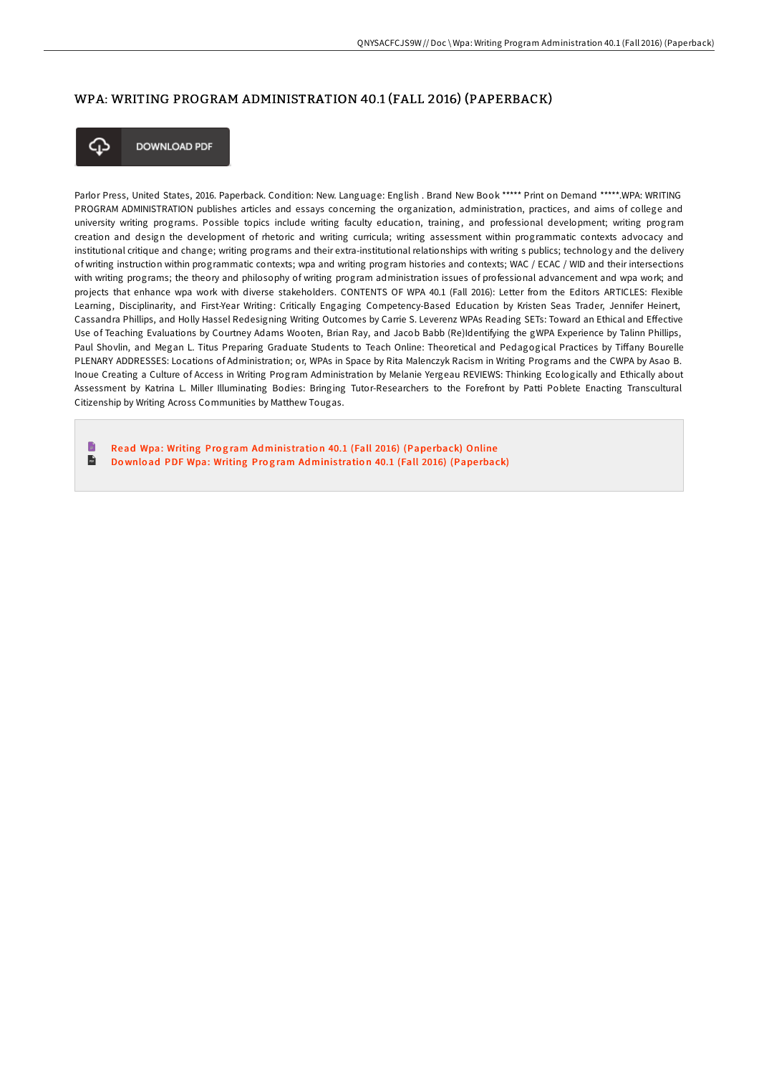# WPA: WRITING PROGRAM ADMINISTRATION 40.1 (FALL 2016) (PAPERBACK)



**DOWNLOAD PDF** 

Parlor Press, United States, 2016. Paperback. Condition: New. Language: English . Brand New Book \*\*\*\*\* Print on Demand \*\*\*\*\*.WPA: WRITING PROGRAM ADMINISTRATION publishes articles and essays concerning the organization, administration, practices, and aims of college and university writing programs. Possible topics include writing faculty education, training, and professional development; writing program creation and design the development of rhetoric and writing curricula; writing assessment within programmatic contexts advocacy and institutional critique and change; writing programs and their extra-institutional relationships with writing s publics; technology and the delivery of writing instruction within programmatic contexts; wpa and writing program histories and contexts; WAC / ECAC / WID and their intersections with writing programs; the theory and philosophy of writing program administration issues of professional advancement and wpa work; and projects that enhance wpa work with diverse stakeholders. CONTENTS OF WPA 40.1 (Fall 2016): Letter from the Editors ARTICLES: Flexible Learning, Disciplinarity, and First-Year Writing: Critically Engaging Competency-Based Education by Kristen Seas Trader, Jennifer Heinert, Cassandra Phillips, and Holly Hassel Redesigning Writing Outcomes by Carrie S. Leverenz WPAs Reading SETs: Toward an Ethical and Effective Use of Teaching Evaluations by Courtney Adams Wooten, Brian Ray, and Jacob Babb (Re)Identifying the gWPA Experience by Talinn Phillips, Paul Shovlin, and Megan L. Titus Preparing Graduate Students to Teach Online: Theoretical and Pedagogical Practices by Tiffany Bourelle PLENARY ADDRESSES: Locations of Administration; or, WPAs in Space by Rita Malenczyk Racism in Writing Programs and the CWPA by Asao B. Inoue Creating a Culture of Access in Writing Program Administration by Melanie Yergeau REVIEWS: Thinking Ecologically and Ethically about Assessment by Katrina L. Miller Illuminating Bodies: Bringing Tutor-Researchers to the Forefront by Patti Poblete Enacting Transcultural Citizenship by Writing Across Communities by Matthew Tougas.

T. Read Wpa: [Writing](http://almighty24.tech/wpa-writing-program-administration-40-1-fall-201.html) Program Administration 40.1 (Fall 2016) (Paperback) Online  $\frac{1}{10}$ Do wnload PDF Wpa: [Writing](http://almighty24.tech/wpa-writing-program-administration-40-1-fall-201.html) Program Administration 40.1 (Fall 2016) (Paperback)